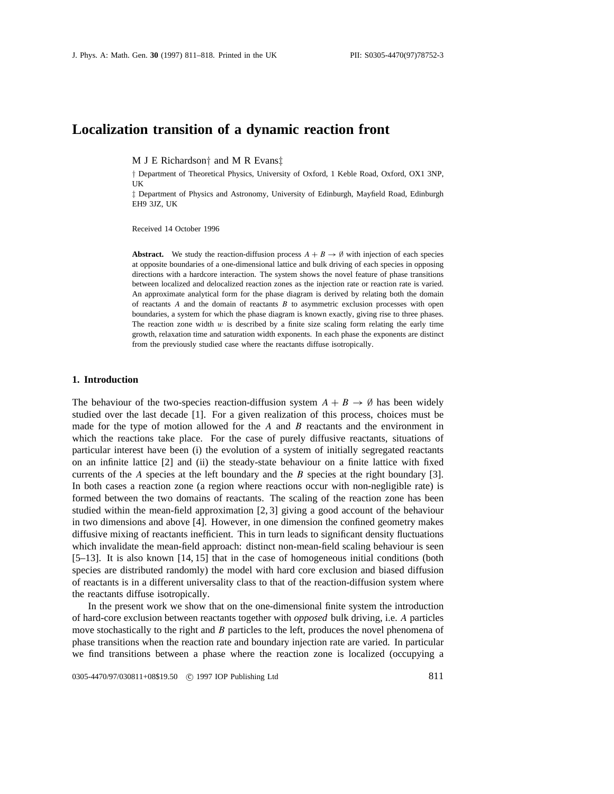# **Localization transition of a dynamic reaction front**

M J E Richardson*†* and M R Evans*‡*

*†* Department of Theoretical Physics, University of Oxford, 1 Keble Road, Oxford, OX1 3NP, UK

*‡* Department of Physics and Astronomy, University of Edinburgh, Mayfield Road, Edinburgh EH9 3JZ, UK

Received 14 October 1996

**Abstract.** We study the reaction-diffusion process  $A + B \rightarrow \emptyset$  with injection of each species at opposite boundaries of a one-dimensional lattice and bulk driving of each species in opposing directions with a hardcore interaction. The system shows the novel feature of phase transitions between localized and delocalized reaction zones as the injection rate or reaction rate is varied. An approximate analytical form for the phase diagram is derived by relating both the domain of reactants *A* and the domain of reactants *B* to asymmetric exclusion processes with open boundaries, a system for which the phase diagram is known exactly, giving rise to three phases. The reaction zone width *w* is described by a finite size scaling form relating the early time growth, relaxation time and saturation width exponents. In each phase the exponents are distinct from the previously studied case where the reactants diffuse isotropically.

### **1. Introduction**

The behaviour of the two-species reaction-diffusion system  $A + B \rightarrow \emptyset$  has been widely studied over the last decade [1]. For a given realization of this process, choices must be made for the type of motion allowed for the *A* and *B* reactants and the environment in which the reactions take place. For the case of purely diffusive reactants, situations of particular interest have been (i) the evolution of a system of initially segregated reactants on an infinite lattice [2] and (ii) the steady-state behaviour on a finite lattice with fixed currents of the *A* species at the left boundary and the *B* species at the right boundary [3]. In both cases a reaction zone (a region where reactions occur with non-negligible rate) is formed between the two domains of reactants. The scaling of the reaction zone has been studied within the mean-field approximation [2, 3] giving a good account of the behaviour in two dimensions and above [4]. However, in one dimension the confined geometry makes diffusive mixing of reactants inefficient. This in turn leads to significant density fluctuations which invalidate the mean-field approach: distinct non-mean-field scaling behaviour is seen [5–13]. It is also known [14, 15] that in the case of homogeneous initial conditions (both species are distributed randomly) the model with hard core exclusion and biased diffusion of reactants is in a different universality class to that of the reaction-diffusion system where the reactants diffuse isotropically.

In the present work we show that on the one-dimensional finite system the introduction of hard-core exclusion between reactants together with *opposed* bulk driving, i.e. *A* particles move stochastically to the right and *B* particles to the left, produces the novel phenomena of phase transitions when the reaction rate and boundary injection rate are varied. In particular we find transitions between a phase where the reaction zone is localized (occupying a

0305-4470/97/030811+08\$19.50 © 1997 IOP Publishing Ltd 811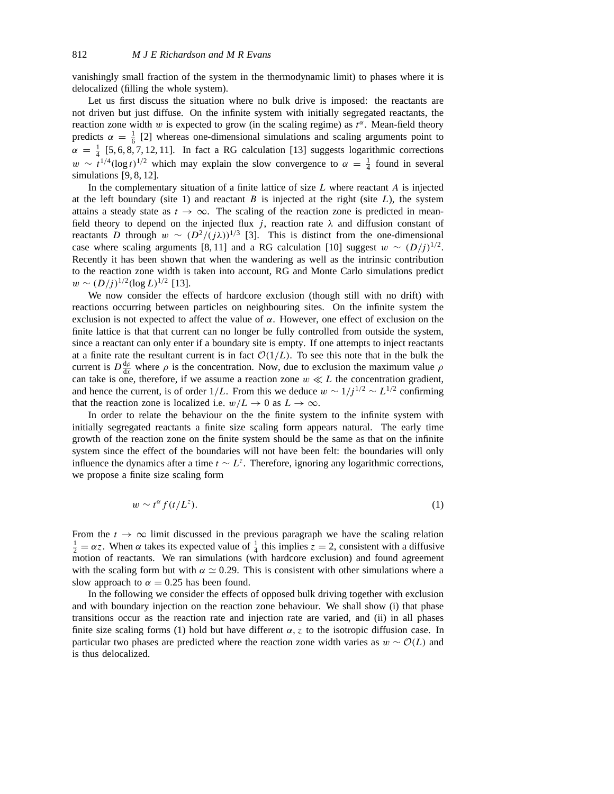vanishingly small fraction of the system in the thermodynamic limit) to phases where it is delocalized (filling the whole system).

Let us first discuss the situation where no bulk drive is imposed: the reactants are not driven but just diffuse. On the infinite system with initially segregated reactants, the reaction zone width *w* is expected to grow (in the scaling regime) as  $t^{\alpha}$ . Mean-field theory predicts  $\alpha = \frac{1}{6}$  [2] whereas one-dimensional simulations and scaling arguments point to  $\alpha = \frac{1}{4}$  [5, 6, 8, 7, 12, 11]. In fact a RG calculation [13] suggests logarithmic corrections  $w \sim t^{1/4} (\log t)^{1/2}$  which may explain the slow convergence to  $\alpha = \frac{1}{4}$  found in several simulations [9, 8, 12].

In the complementary situation of a finite lattice of size *L* where reactant *A* is injected at the left boundary (site 1) and reactant  $B$  is injected at the right (site  $L$ ), the system attains a steady state as  $t \to \infty$ . The scaling of the reaction zone is predicted in meanfield theory to depend on the injected flux *j*, reaction rate  $\lambda$  and diffusion constant of reactants *D* through  $w \sim (D^2/(\gamma \lambda))^{1/3}$  [3]. This is distinct from the one-dimensional case where scaling arguments [8, 11] and a RG calculation [10] suggest  $w \sim (D/j)^{1/2}$ . Recently it has been shown that when the wandering as well as the intrinsic contribution to the reaction zone width is taken into account, RG and Monte Carlo simulations predict *w* ∼  $(D/i)^{1/2}$ (log *L*)<sup>1/2</sup> [13].

We now consider the effects of hardcore exclusion (though still with no drift) with reactions occurring between particles on neighbouring sites. On the infinite system the exclusion is not expected to affect the value of  $\alpha$ . However, one effect of exclusion on the finite lattice is that that current can no longer be fully controlled from outside the system, since a reactant can only enter if a boundary site is empty. If one attempts to inject reactants at a finite rate the resultant current is in fact  $O(1/L)$ . To see this note that in the bulk the current is  $D \frac{d\rho}{dx}$  where  $\rho$  is the concentration. Now, due to exclusion the maximum value  $\rho$ can take is one, therefore, if we assume a reaction zone  $w \ll L$  the concentration gradient, and hence the current, is of order  $1/L$ . From this we deduce  $w \sim 1/j^{1/2} \sim L^{1/2}$  confirming that the reaction zone is localized i.e.  $w/L \to 0$  as  $L \to \infty$ .

In order to relate the behaviour on the the finite system to the infinite system with initially segregated reactants a finite size scaling form appears natural. The early time growth of the reaction zone on the finite system should be the same as that on the infinite system since the effect of the boundaries will not have been felt: the boundaries will only influence the dynamics after a time  $t \sim L^z$ . Therefore, ignoring any logarithmic corrections, we propose a finite size scaling form

> $w \sim t^{\alpha} f(t/L^{z})$ *).* (1)

From the  $t \to \infty$  limit discussed in the previous paragraph we have the scaling relation  $\frac{1}{2} = \alpha z$ . When  $\alpha$  takes its expected value of  $\frac{1}{4}$  this implies  $z = 2$ , consistent with a diffusive motion of reactants. We ran simulations (with hardcore exclusion) and found agreement with the scaling form but with  $\alpha \simeq 0.29$ . This is consistent with other simulations where a slow approach to  $\alpha = 0.25$  has been found.

In the following we consider the effects of opposed bulk driving together with exclusion and with boundary injection on the reaction zone behaviour. We shall show (i) that phase transitions occur as the reaction rate and injection rate are varied, and (ii) in all phases finite size scaling forms (1) hold but have different  $\alpha$ , *z* to the isotropic diffusion case. In particular two phases are predicted where the reaction zone width varies as  $w \sim \mathcal{O}(L)$  and is thus delocalized.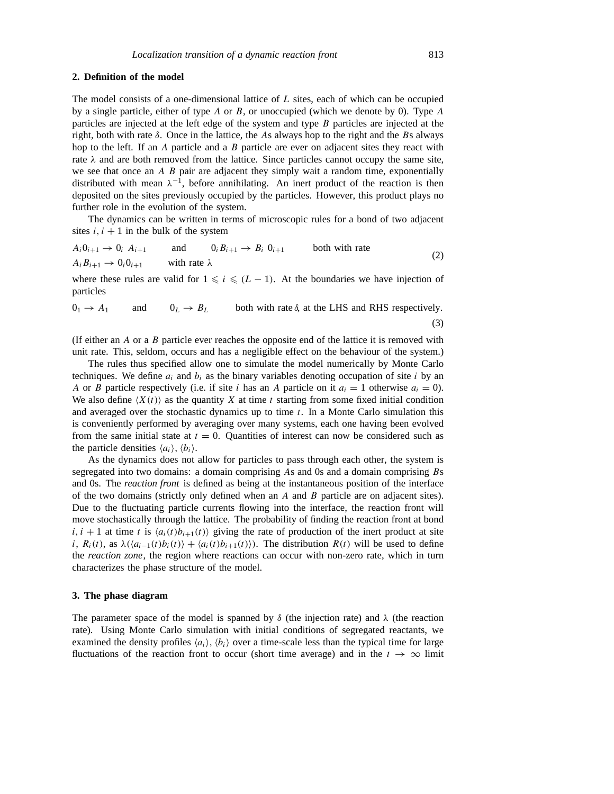# **2. Definition of the model**

The model consists of a one-dimensional lattice of *L* sites, each of which can be occupied by a single particle, either of type *A* or *B*, or unoccupied (which we denote by 0). Type *A* particles are injected at the left edge of the system and type *B* particles are injected at the right, both with rate *δ*. Once in the lattice, the *A*s always hop to the right and the *B*s always hop to the left. If an *A* particle and a *B* particle are ever on adjacent sites they react with rate  $\lambda$  and are both removed from the lattice. Since particles cannot occupy the same site, we see that once an *A B* pair are adjacent they simply wait a random time, exponentially distributed with mean  $\lambda^{-1}$ , before annihilating. An inert product of the reaction is then deposited on the sites previously occupied by the particles. However, this product plays no further role in the evolution of the system.

The dynamics can be written in terms of microscopic rules for a bond of two adjacent sites  $i, i + 1$  in the bulk of the system

$$
A_i 0_{i+1} \to 0_i A_{i+1} \qquad \text{and} \qquad 0_i B_{i+1} \to B_i 0_{i+1} \qquad \text{both with rate}
$$
  

$$
A_i B_{i+1} \to 0_i 0_{i+1} \qquad \text{with rate } \lambda
$$
 (2)

where these rules are valid for  $1 \leq i \leq (L-1)$ . At the boundaries we have injection of particles

$$
0_1 \rightarrow A_1
$$
 and  $0_L \rightarrow B_L$  both with rate  $\delta$ , at the LHS and RHS respectively. (3)

(If either an *A* or a *B* particle ever reaches the opposite end of the lattice it is removed with unit rate. This, seldom, occurs and has a negligible effect on the behaviour of the system.)

The rules thus specified allow one to simulate the model numerically by Monte Carlo techniques. We define  $a_i$  and  $b_i$  as the binary variables denoting occupation of site *i* by an *A* or *B* particle respectively (i.e. if site *i* has an *A* particle on it  $a_i = 1$  otherwise  $a_i = 0$ ). We also define  $\langle X(t) \rangle$  as the quantity X at time t starting from some fixed initial condition and averaged over the stochastic dynamics up to time *t*. In a Monte Carlo simulation this is conveniently performed by averaging over many systems, each one having been evolved from the same initial state at  $t = 0$ . Quantities of interest can now be considered such as the particle densities  $\langle a_i \rangle$ ,  $\langle b_i \rangle$ .

As the dynamics does not allow for particles to pass through each other, the system is segregated into two domains: a domain comprising *A*s and 0s and a domain comprising *B*s and 0s. The *reaction front* is defined as being at the instantaneous position of the interface of the two domains (strictly only defined when an *A* and *B* particle are on adjacent sites). Due to the fluctuating particle currents flowing into the interface, the reaction front will move stochastically through the lattice. The probability of finding the reaction front at bond  $i, i + 1$  at time *t* is  $\langle a_i(t)b_{i+1}(t) \rangle$  giving the rate of production of the inert product at site *i*,  $R_i(t)$ , as  $\lambda(\langle a_{i-1}(t)b_i(t) \rangle + \langle a_i(t)b_{i+1}(t) \rangle)$ . The distribution  $R(t)$  will be used to define the *reaction zone*, the region where reactions can occur with non-zero rate, which in turn characterizes the phase structure of the model.

# **3. The phase diagram**

The parameter space of the model is spanned by  $\delta$  (the injection rate) and  $\lambda$  (the reaction rate). Using Monte Carlo simulation with initial conditions of segregated reactants, we examined the density profiles  $\langle a_i \rangle$ ,  $\langle b_i \rangle$  over a time-scale less than the typical time for large fluctuations of the reaction front to occur (short time average) and in the  $t \to \infty$  limit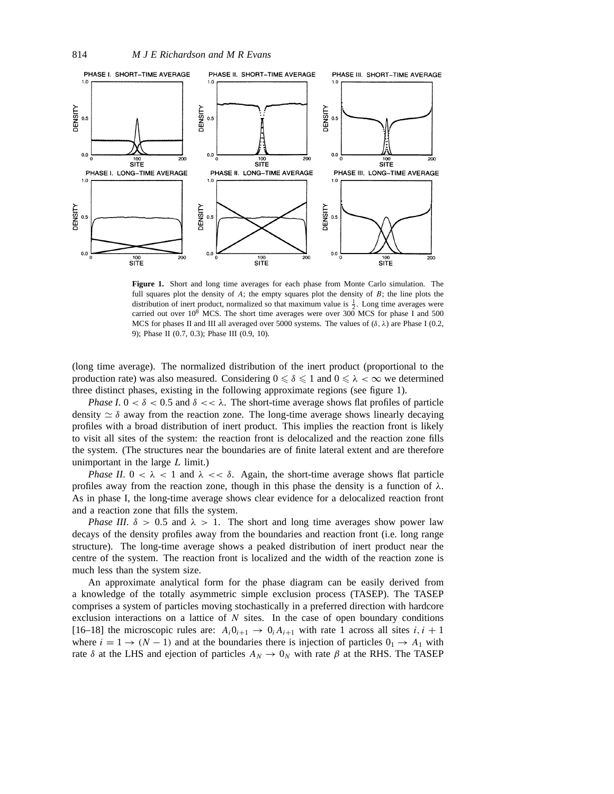

**Figure 1.** Short and long time averages for each phase from Monte Carlo simulation. The full squares plot the density of *A*; the empty squares plot the density of *B*; the line plots the distribution of inert product, normalized so that maximum value is  $\frac{1}{2}$ . Long time averages were carried out over  $10^8$  MCS. The short time averages were over 300 MCS for phase I and 500 MCS for phases II and III all averaged over 5000 systems. The values of (*δ, λ*) are Phase I (0.2, 9); Phase II (0.7, 0.3); Phase III (0.9, 10).

(long time average). The normalized distribution of the inert product (proportional to the production rate) was also measured. Considering  $0 \le \delta \le 1$  and  $0 \le \lambda < \infty$  we determined three distinct phases, existing in the following approximate regions (see figure 1).

*Phase I*.  $0 < \delta < 0.5$  and  $\delta < \lambda$ . The short-time average shows flat profiles of particle density  $\approx \delta$  away from the reaction zone. The long-time average shows linearly decaying profiles with a broad distribution of inert product. This implies the reaction front is likely to visit all sites of the system: the reaction front is delocalized and the reaction zone fills the system. (The structures near the boundaries are of finite lateral extent and are therefore unimportant in the large *L* limit.)

*Phase II*.  $0 < \lambda < 1$  and  $\lambda < \delta$ . Again, the short-time average shows flat particle profiles away from the reaction zone, though in this phase the density is a function of  $\lambda$ . As in phase I, the long-time average shows clear evidence for a delocalized reaction front and a reaction zone that fills the system.

*Phase III.*  $\delta > 0.5$  and  $\lambda > 1$ . The short and long time averages show power law decays of the density profiles away from the boundaries and reaction front (i.e. long range structure). The long-time average shows a peaked distribution of inert product near the centre of the system. The reaction front is localized and the width of the reaction zone is much less than the system size.

An approximate analytical form for the phase diagram can be easily derived from a knowledge of the totally asymmetric simple exclusion process (TASEP). The TASEP comprises a system of particles moving stochastically in a preferred direction with hardcore exclusion interactions on a lattice of *N* sites. In the case of open boundary conditions [16–18] the microscopic rules are:  $A_i 0_{i+1} \rightarrow 0_i A_{i+1}$  with rate 1 across all sites  $i, i + 1$ where  $i = 1 \rightarrow (N - 1)$  and at the boundaries there is injection of particles  $0<sub>1</sub> \rightarrow A<sub>1</sub>$  with rate  $\delta$  at the LHS and ejection of particles  $A_N \to 0_N$  with rate  $\beta$  at the RHS. The TASEP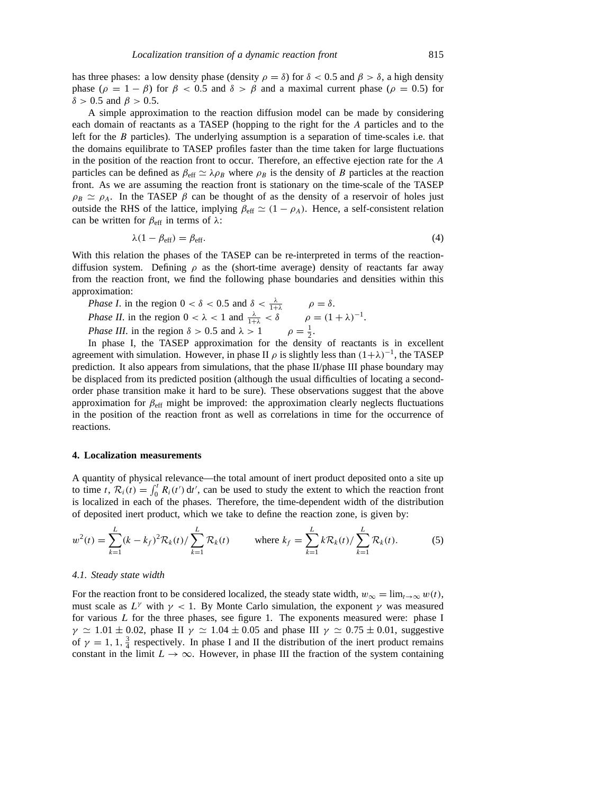has three phases: a low density phase (density  $\rho = \delta$ ) for  $\delta < 0.5$  and  $\beta > \delta$ , a high density phase ( $\rho = 1 - \beta$ ) for  $\beta < 0.5$  and  $\delta > \beta$  and a maximal current phase ( $\rho = 0.5$ ) for  $\delta$  > 0.5 and  $\beta$  > 0.5.

A simple approximation to the reaction diffusion model can be made by considering each domain of reactants as a TASEP (hopping to the right for the *A* particles and to the left for the *B* particles). The underlying assumption is a separation of time-scales i.e. that the domains equilibrate to TASEP profiles faster than the time taken for large fluctuations in the position of the reaction front to occur. Therefore, an effective ejection rate for the *A* particles can be defined as  $\beta_{\text{eff}} \simeq \lambda \rho_B$  where  $\rho_B$  is the density of *B* particles at the reaction front. As we are assuming the reaction front is stationary on the time-scale of the TASEP  $\rho_B \simeq \rho_A$ . In the TASEP  $\beta$  can be thought of as the density of a reservoir of holes just outside the RHS of the lattice, implying  $\beta_{\text{eff}} \simeq (1 - \rho_A)$ . Hence, a self-consistent relation can be written for  $\beta_{\text{eff}}$  in terms of  $\lambda$ :

$$
\lambda(1 - \beta_{\rm eff}) = \beta_{\rm eff}.\tag{4}
$$

With this relation the phases of the TASEP can be re-interpreted in terms of the reactiondiffusion system. Defining  $\rho$  as the (short-time average) density of reactants far away from the reaction front, we find the following phase boundaries and densities within this approximation:

*Phase I.* in the region 
$$
0 < \delta < 0.5
$$
 and  $\delta < \frac{\lambda}{1+\lambda}$   $\rho = \delta$ . *Phase II.* in the region  $0 < \lambda < 1$  and  $\frac{\lambda}{1+\lambda} < \delta$   $\rho = (1+\lambda)^{-1}$ . *Phase III.* in the region  $\delta > 0.5$  and  $\lambda > 1$   $\rho = \frac{1}{2}$ .

In phase I, the TASEP approximation for the density of reactants is in excellent agreement with simulation. However, in phase II  $\rho$  is slightly less than  $(1+\lambda)^{-1}$ , the TASEP prediction. It also appears from simulations, that the phase II/phase III phase boundary may be displaced from its predicted position (although the usual difficulties of locating a secondorder phase transition make it hard to be sure). These observations suggest that the above approximation for *β*eff might be improved: the approximation clearly neglects fluctuations in the position of the reaction front as well as correlations in time for the occurrence of reactions.

#### **4. Localization measurements**

A quantity of physical relevance—the total amount of inert product deposited onto a site up to time *t*,  $\mathcal{R}_i(t) = \int_0^t R_i(t') dt'$ , can be used to study the extent to which the reaction front is localized in each of the phases. Therefore, the time-dependent width of the distribution of deposited inert product, which we take to define the reaction zone, is given by:

$$
w^{2}(t) = \sum_{k=1}^{L} (k - k_{f})^{2} \mathcal{R}_{k}(t) / \sum_{k=1}^{L} \mathcal{R}_{k}(t) \quad \text{where } k_{f} = \sum_{k=1}^{L} k \mathcal{R}_{k}(t) / \sum_{k=1}^{L} \mathcal{R}_{k}(t). \tag{5}
$$

#### *4.1. Steady state width*

For the reaction front to be considered localized, the steady state width,  $w_{\infty} = \lim_{t \to \infty} w(t)$ , must scale as  $L^{\gamma}$  with  $\gamma$  < 1. By Monte Carlo simulation, the exponent  $\gamma$  was measured for various *L* for the three phases, see figure 1. The exponents measured were: phase I  $\gamma \simeq 1.01 \pm 0.02$ , phase II  $\gamma \simeq 1.04 \pm 0.05$  and phase III  $\gamma \simeq 0.75 \pm 0.01$ , suggestive of  $\gamma = 1, 1, \frac{3}{4}$  respectively. In phase I and II the distribution of the inert product remains constant in the limit  $L \to \infty$ . However, in phase III the fraction of the system containing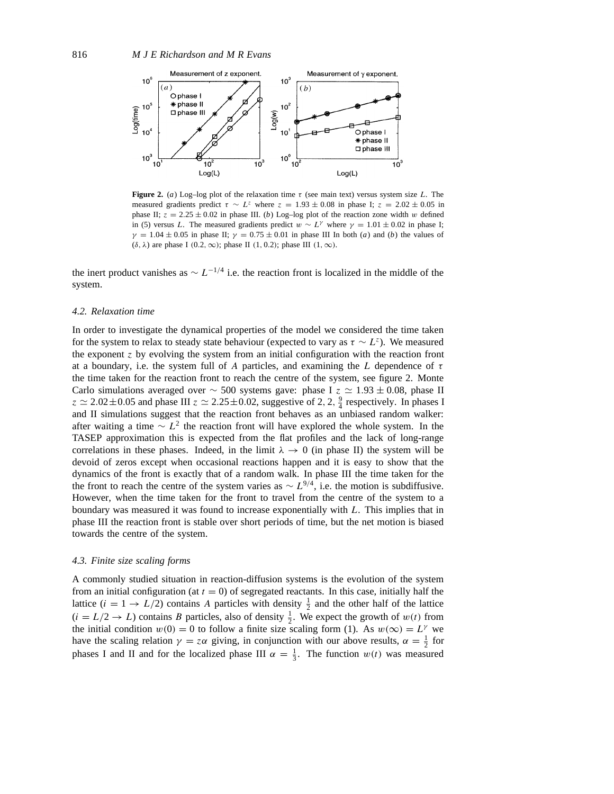

**Figure 2.** (*a*) Log–log plot of the relaxation time *τ* (see main text) versus system size *L*. The measured gradients predict  $\tau \sim L^z$  where  $z = 1.93 \pm 0.08$  in phase I;  $z = 2.02 \pm 0.05$  in phase II;  $z = 2.25 \pm 0.02$  in phase III. (*b*) Log-log plot of the reaction zone width *w* defined in (5) versus *L*. The measured gradients predict  $w \sim L^{\gamma}$  where  $\gamma = 1.01 \pm 0.02$  in phase I;  $\gamma = 1.04 \pm 0.05$  in phase II;  $\gamma = 0.75 \pm 0.01$  in phase III In both (*a*) and (*b*) the values of (*δ, λ*) are phase I *(*0*.*2*,*∞*)*; phase II *(*1*,* 0*.*2*)*; phase III *(*1*,*∞*)*.

the inert product vanishes as  $\sim L^{-1/4}$  i.e. the reaction front is localized in the middle of the system.

#### *4.2. Relaxation time*

In order to investigate the dynamical properties of the model we considered the time taken for the system to relax to steady state behaviour (expected to vary as  $\tau \sim L^z$ ). We measured the exponent *z* by evolving the system from an initial configuration with the reaction front at a boundary, i.e. the system full of *A* particles, and examining the *L* dependence of *τ* the time taken for the reaction front to reach the centre of the system, see figure 2. Monte Carlo simulations averaged over ~ 500 systems gave: phase I *z*  $\approx$  1.93 ± 0.08, phase II  $z \approx 2.02 \pm 0.05$  and phase III  $z \approx 2.25 \pm 0.02$ , suggestive of 2, 2,  $\frac{9}{4}$  respectively. In phases I and II simulations suggest that the reaction front behaves as an unbiased random walker: after waiting a time  $\sim L^2$  the reaction front will have explored the whole system. In the TASEP approximation this is expected from the flat profiles and the lack of long-range correlations in these phases. Indeed, in the limit  $\lambda \to 0$  (in phase II) the system will be devoid of zeros except when occasional reactions happen and it is easy to show that the dynamics of the front is exactly that of a random walk. In phase III the time taken for the the front to reach the centre of the system varies as  $\sim L^{9/4}$ , i.e. the motion is subdiffusive. However, when the time taken for the front to travel from the centre of the system to a boundary was measured it was found to increase exponentially with *L*. This implies that in phase III the reaction front is stable over short periods of time, but the net motion is biased towards the centre of the system.

# *4.3. Finite size scaling forms*

A commonly studied situation in reaction-diffusion systems is the evolution of the system from an initial configuration (at  $t = 0$ ) of segregated reactants. In this case, initially half the lattice  $(i = 1 \rightarrow L/2)$  contains *A* particles with density  $\frac{1}{2}$  and the other half of the lattice  $(i = L/2 \rightarrow L)$  contains *B* particles, also of density  $\frac{1}{2}$ . We expect the growth of  $w(t)$  from the initial condition  $w(0) = 0$  to follow a finite size scaling form (1). As  $w(\infty) = L^{\gamma}$  we have the scaling relation  $\gamma = z\alpha$  giving, in conjunction with our above results,  $\alpha = \frac{1}{2}$  for phases I and II and for the localized phase III  $\alpha = \frac{1}{3}$ . The function  $w(t)$  was measured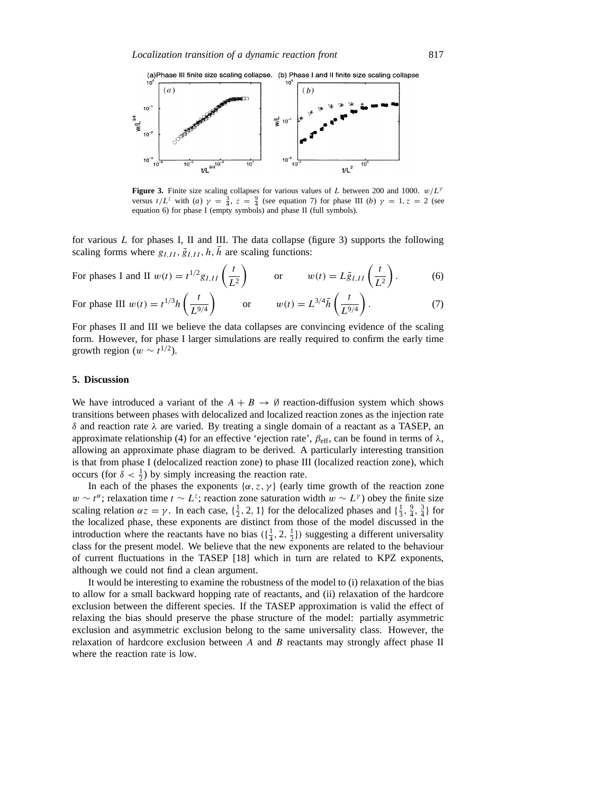

**Figure 3.** Finite size scaling collapses for various values of *L* between 200 and 1000. *w/L<sup>γ</sup>* versus  $t/L^z$  with (*a*)  $\gamma = \frac{3}{4}$ ,  $z = \frac{9}{4}$  (see equation 7) for phase III (*b*)  $\gamma = 1$ ,  $z = 2$  (see equation 6) for phase I (empty symbols) and phase II (full symbols).

for various *L* for phases I, II and III. The data collapse (figure 3) supports the following scaling forms where  $g_{I,II}, \tilde{g}_{I,II}, h, h$  are scaling functions:

For phases I and II 
$$
w(t) = t^{1/2} g_{I,II} \left( \frac{t}{L^2} \right)
$$
 or  $w(t) = L \tilde{g}_{I,II} \left( \frac{t}{L^2} \right)$ . (6)

For phase III 
$$
w(t) = t^{1/3} h\left(\frac{t}{L^{9/4}}\right)
$$
 or  $w(t) = L^{3/4} \tilde{h}\left(\frac{t}{L^{9/4}}\right)$ . (7)

For phases II and III we believe the data collapses are convincing evidence of the scaling form. However, for phase I larger simulations are really required to confirm the early time growth region ( $w \sim t^{1/2}$ ).

# **5. Discussion**

We have introduced a variant of the  $A + B \rightarrow \emptyset$  reaction-diffusion system which shows transitions between phases with delocalized and localized reaction zones as the injection rate *δ* and reaction rate *λ* are varied. By treating a single domain of a reactant as a TASEP, an approximate relationship (4) for an effective 'ejection rate',  $\beta_{\text{eff}}$ , can be found in terms of  $\lambda$ , allowing an approximate phase diagram to be derived. A particularly interesting transition is that from phase I (delocalized reaction zone) to phase III (localized reaction zone), which occurs (for  $\delta < \frac{1}{2}$ ) by simply increasing the reaction rate.

In each of the phases the exponents  $\{\alpha, z, \gamma\}$  (early time growth of the reaction zone *w* ∼ *t*<sup>α</sup>; relaxation time *t* ∼ *L<sup>z</sup>*; reaction zone saturation width *w* ∼ *L<sup>γ</sup>*) obey the finite size scaling relation  $\alpha z = \gamma$ . In each case,  $\{\frac{1}{2}, 2, 1\}$  for the delocalized phases and  $\{\frac{1}{3}, \frac{9}{4}, \frac{3}{4}\}$  for the localized phase, these exponents are distinct from those of the model discussed in the introduction where the reactants have no bias  $(\frac{1}{4}, 2, \frac{1}{2})$  suggesting a different universality class for the present model. We believe that the new exponents are related to the behaviour of current fluctuations in the TASEP [18] which in turn are related to KPZ exponents, although we could not find a clean argument.

It would be interesting to examine the robustness of the model to (i) relaxation of the bias to allow for a small backward hopping rate of reactants, and (ii) relaxation of the hardcore exclusion between the different species. If the TASEP approximation is valid the effect of relaxing the bias should preserve the phase structure of the model: partially asymmetric exclusion and asymmetric exclusion belong to the same universality class. However, the relaxation of hardcore exclusion between *A* and *B* reactants may strongly affect phase II where the reaction rate is low.